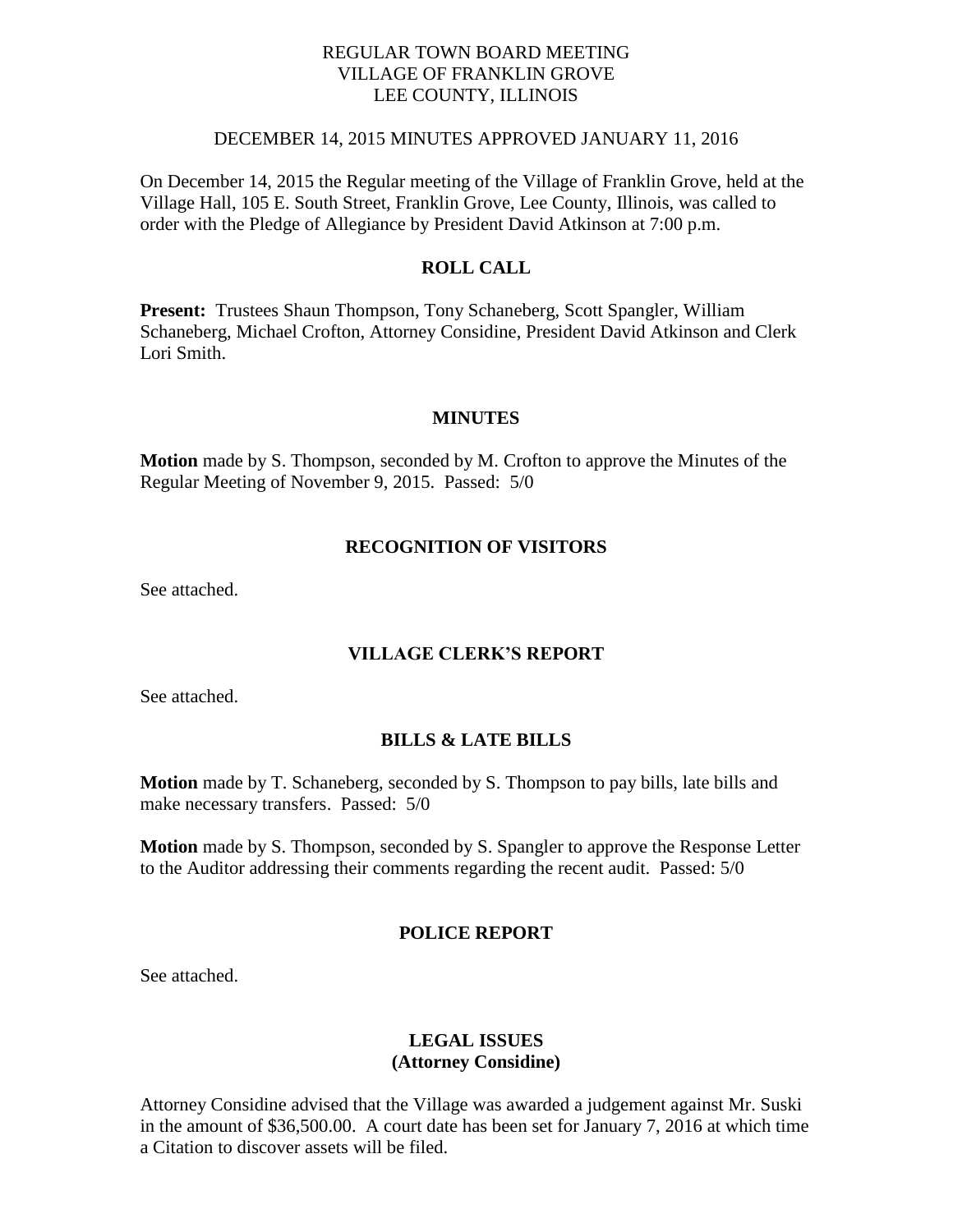## REGULAR TOWN BOARD MEETING VILLAGE OF FRANKLIN GROVE LEE COUNTY, ILLINOIS

## DECEMBER 14, 2015 MINUTES APPROVED JANUARY 11, 2016

On December 14, 2015 the Regular meeting of the Village of Franklin Grove, held at the Village Hall, 105 E. South Street, Franklin Grove, Lee County, Illinois, was called to order with the Pledge of Allegiance by President David Atkinson at 7:00 p.m.

## **ROLL CALL**

**Present:** Trustees Shaun Thompson, Tony Schaneberg, Scott Spangler, William Schaneberg, Michael Crofton, Attorney Considine, President David Atkinson and Clerk Lori Smith.

### **MINUTES**

**Motion** made by S. Thompson, seconded by M. Crofton to approve the Minutes of the Regular Meeting of November 9, 2015. Passed: 5/0

### **RECOGNITION OF VISITORS**

See attached.

## **VILLAGE CLERK'S REPORT**

See attached.

## **BILLS & LATE BILLS**

**Motion** made by T. Schaneberg, seconded by S. Thompson to pay bills, late bills and make necessary transfers. Passed: 5/0

**Motion** made by S. Thompson, seconded by S. Spangler to approve the Response Letter to the Auditor addressing their comments regarding the recent audit. Passed: 5/0

#### **POLICE REPORT**

See attached.

## **LEGAL ISSUES (Attorney Considine)**

Attorney Considine advised that the Village was awarded a judgement against Mr. Suski in the amount of \$36,500.00. A court date has been set for January 7, 2016 at which time a Citation to discover assets will be filed.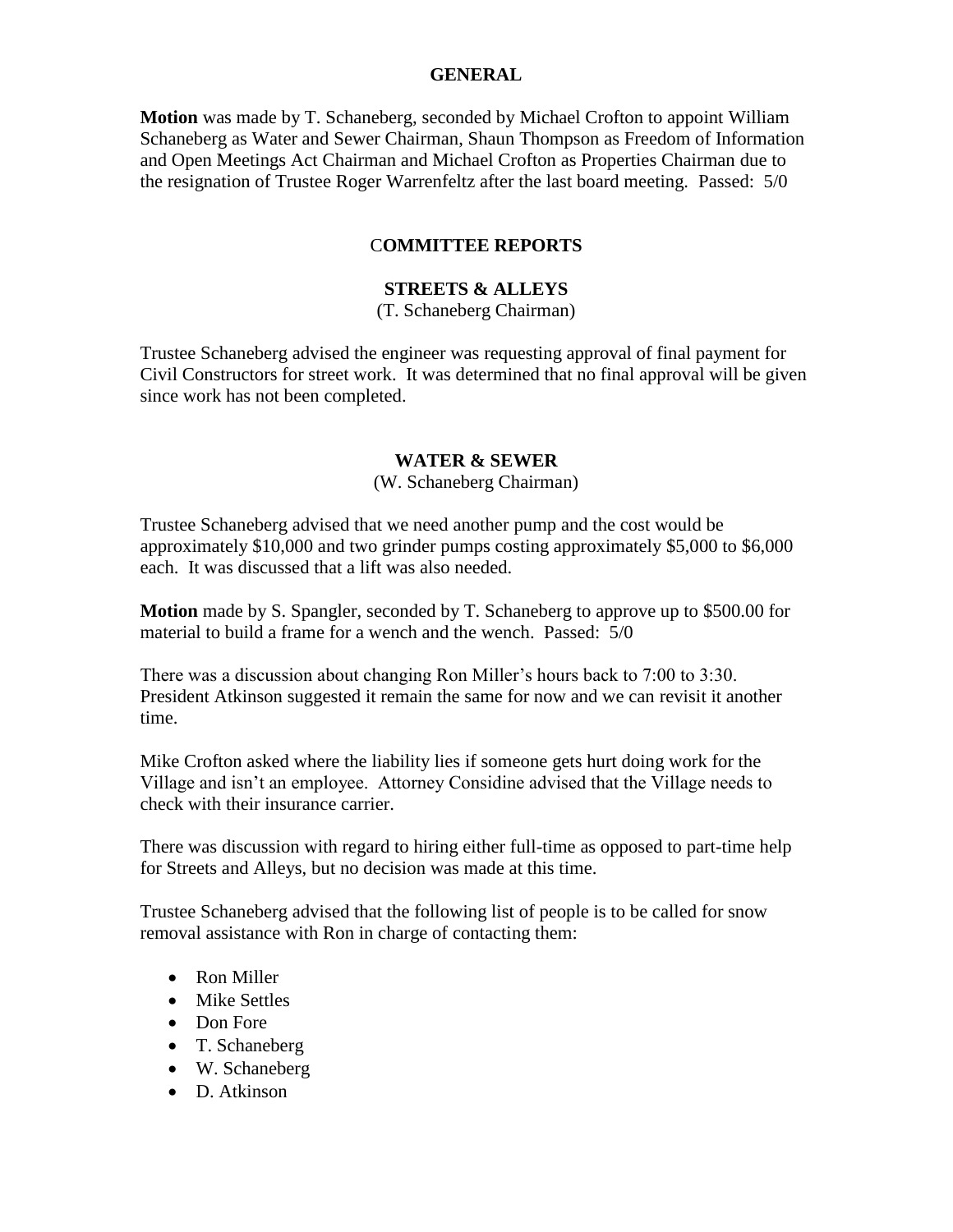### **GENERAL**

**Motion** was made by T. Schaneberg, seconded by Michael Crofton to appoint William Schaneberg as Water and Sewer Chairman, Shaun Thompson as Freedom of Information and Open Meetings Act Chairman and Michael Crofton as Properties Chairman due to the resignation of Trustee Roger Warrenfeltz after the last board meeting. Passed: 5/0

## C**OMMITTEE REPORTS**

### **STREETS & ALLEYS**

(T. Schaneberg Chairman)

Trustee Schaneberg advised the engineer was requesting approval of final payment for Civil Constructors for street work. It was determined that no final approval will be given since work has not been completed.

#### **WATER & SEWER**

#### (W. Schaneberg Chairman)

Trustee Schaneberg advised that we need another pump and the cost would be approximately \$10,000 and two grinder pumps costing approximately \$5,000 to \$6,000 each. It was discussed that a lift was also needed.

**Motion** made by S. Spangler, seconded by T. Schaneberg to approve up to \$500.00 for material to build a frame for a wench and the wench. Passed: 5/0

There was a discussion about changing Ron Miller's hours back to 7:00 to 3:30. President Atkinson suggested it remain the same for now and we can revisit it another time.

Mike Crofton asked where the liability lies if someone gets hurt doing work for the Village and isn't an employee. Attorney Considine advised that the Village needs to check with their insurance carrier.

There was discussion with regard to hiring either full-time as opposed to part-time help for Streets and Alleys, but no decision was made at this time.

Trustee Schaneberg advised that the following list of people is to be called for snow removal assistance with Ron in charge of contacting them:

- Ron Miller
- Mike Settles
- Don Fore
- T. Schaneberg
- W. Schaneberg
- D. Atkinson